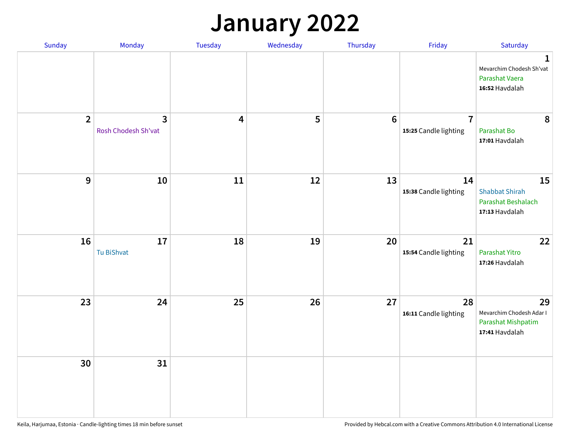## **January 2022**

| Sunday         | Monday                   | Tuesday                 | Wednesday | Thursday         | Friday                                  | Saturday                                                                     |
|----------------|--------------------------|-------------------------|-----------|------------------|-----------------------------------------|------------------------------------------------------------------------------|
|                |                          |                         |           |                  |                                         | $\mathbf{1}$<br>Mevarchim Chodesh Sh'vat<br>Parashat Vaera<br>16:52 Havdalah |
| $\overline{2}$ | 3<br>Rosh Chodesh Sh'vat | $\overline{\mathbf{4}}$ | 5         | $\boldsymbol{6}$ | $\overline{7}$<br>15:25 Candle lighting | 8<br>Parashat Bo<br>17:01 Havdalah                                           |
| $\mathbf 9$    | 10                       | ${\bf 11}$              | 12        | 13               | 14<br>15:38 Candle lighting             | 15<br><b>Shabbat Shirah</b><br>Parashat Beshalach<br>17:13 Havdalah          |
| 16             | 17<br>Tu BiShvat         | 18                      | 19        | 20               | 21<br>15:54 Candle lighting             | 22<br>Parashat Yitro<br>17:26 Havdalah                                       |
| 23             | 24                       | 25                      | 26        | 27               | 28<br>16:11 Candle lighting             | 29<br>Mevarchim Chodesh Adar I<br>Parashat Mishpatim<br>17:41 Havdalah       |
| 30             | 31                       |                         |           |                  |                                         |                                                                              |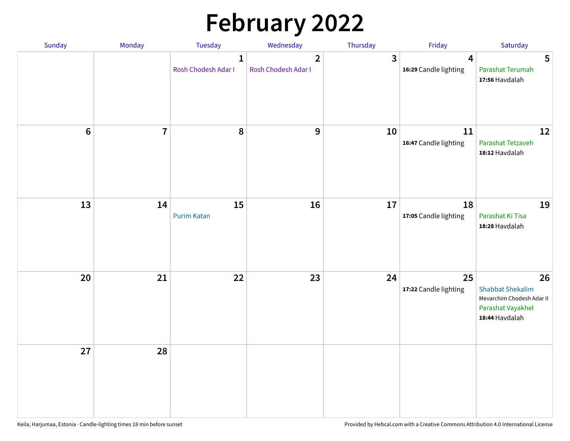# **February 2022**

| Sunday           | Monday         | Tuesday                             | Wednesday                             | Thursday | Friday                                  | Saturday                                                                                          |
|------------------|----------------|-------------------------------------|---------------------------------------|----------|-----------------------------------------|---------------------------------------------------------------------------------------------------|
|                  |                | $\mathbf{1}$<br>Rosh Chodesh Adar I | $\overline{2}$<br>Rosh Chodesh Adar I | 3        | $\overline{4}$<br>16:29 Candle lighting | $5\phantom{.0}$<br>Parashat Terumah<br>17:56 Havdalah                                             |
| $\boldsymbol{6}$ | $\overline{7}$ | 8                                   | $\boldsymbol{9}$                      | 10       | 11<br>16:47 Candle lighting             | 12<br>Parashat Tetzaveh<br>18:12 Havdalah                                                         |
| 13               | 14             | 15<br><b>Purim Katan</b>            | 16                                    | 17       | 18<br>17:05 Candle lighting             | 19<br>Parashat Ki Tisa<br>18:28 Havdalah                                                          |
| 20               | 21             | 22                                  | 23                                    | 24       | 25<br>17:22 Candle lighting             | 26<br><b>Shabbat Shekalim</b><br>Mevarchim Chodesh Adar II<br>Parashat Vayakhel<br>18:44 Havdalah |
| 27               | 28             |                                     |                                       |          |                                         |                                                                                                   |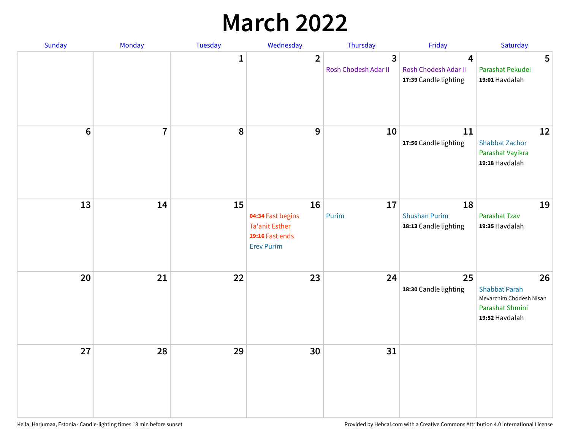## **March 2022**

| Sunday         | Monday         | <b>Tuesday</b> | Wednesday                                                                                | Thursday                  | Friday                                              | Saturday                                                                                   |
|----------------|----------------|----------------|------------------------------------------------------------------------------------------|---------------------------|-----------------------------------------------------|--------------------------------------------------------------------------------------------|
|                |                | $\mathbf{1}$   | $\overline{2}$                                                                           | 3<br>Rosh Chodesh Adar II | 4<br>Rosh Chodesh Adar II<br>17:39 Candle lighting  | 5<br>Parashat Pekudei<br>19:01 Havdalah                                                    |
| $6\phantom{1}$ | $\overline{7}$ | 8              | $\mathbf 9$                                                                              | 10                        | 11<br>17:56 Candle lighting                         | 12<br><b>Shabbat Zachor</b><br>Parashat Vayikra<br>19:18 Havdalah                          |
| 13             | 14             | 15             | 16<br>04:34 Fast begins<br><b>Ta'anit Esther</b><br>19:16 Fast ends<br><b>Erev Purim</b> | 17<br>Purim               | 18<br><b>Shushan Purim</b><br>18:13 Candle lighting | 19<br>Parashat Tzav<br>19:35 Havdalah                                                      |
| 20             | 21             | 22             | 23                                                                                       | 24                        | 25<br>18:30 Candle lighting                         | 26<br><b>Shabbat Parah</b><br>Mevarchim Chodesh Nisan<br>Parashat Shmini<br>19:52 Havdalah |
| 27             | 28             | 29             | 30                                                                                       | 31                        |                                                     |                                                                                            |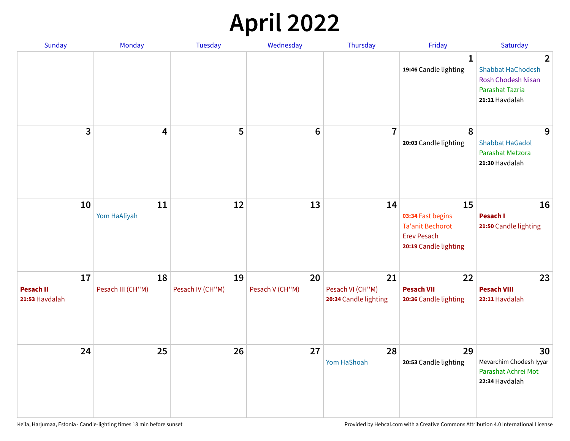## **April 2022**

| Sunday                                   | Monday                  | <b>Tuesday</b>         | Wednesday             | Thursday                                        | Friday                                                                                            | Saturday                                                                                                            |
|------------------------------------------|-------------------------|------------------------|-----------------------|-------------------------------------------------|---------------------------------------------------------------------------------------------------|---------------------------------------------------------------------------------------------------------------------|
|                                          |                         |                        |                       |                                                 | $\mathbf{1}$<br>19:46 Candle lighting                                                             | $\overline{2}$<br><b>Shabbat HaChodesh</b><br><b>Rosh Chodesh Nisan</b><br><b>Parashat Tazria</b><br>21:11 Havdalah |
| 3                                        | $\overline{4}$          | 5                      | $6\phantom{1}6$       | $\overline{7}$                                  | 8<br>20:03 Candle lighting                                                                        | 9<br><b>Shabbat HaGadol</b><br>Parashat Metzora<br>21:30 Havdalah                                                   |
| 10                                       | 11<br>Yom HaAliyah      | 12                     | 13                    | 14                                              | 15<br>03:34 Fast begins<br><b>Ta'anit Bechorot</b><br><b>Erev Pesach</b><br>20:19 Candle lighting | 16<br>Pesach I<br>21:50 Candle lighting                                                                             |
| 17<br><b>Pesach II</b><br>21:53 Havdalah | 18<br>Pesach III (CH"M) | 19<br>Pesach IV (CH"M) | 20<br>Pesach V (CH"M) | 21<br>Pesach VI (CH"M)<br>20:34 Candle lighting | 22<br><b>Pesach VII</b><br>20:36 Candle lighting                                                  | 23<br><b>Pesach VIII</b><br>22:11 Havdalah                                                                          |
| 24                                       | 25                      | 26                     | 27                    | 28<br>Yom HaShoah                               | 29<br>20:53 Candle lighting                                                                       | 30<br>Mevarchim Chodesh Iyyar<br>Parashat Achrei Mot<br>22:34 Havdalah                                              |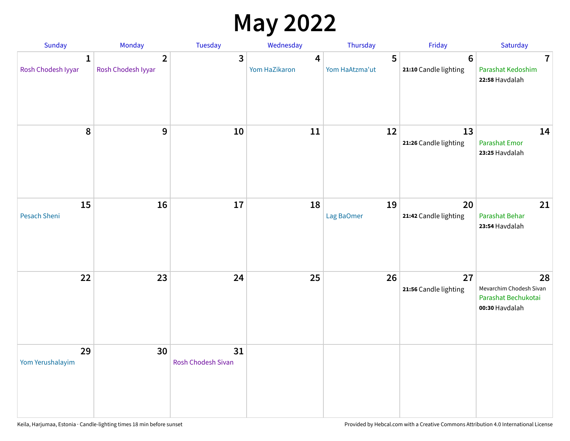## **May 2022**

| Sunday                             | Monday                               | Tuesday                         | Wednesday          | Thursday            | Friday                                   | Saturday                                                               |
|------------------------------------|--------------------------------------|---------------------------------|--------------------|---------------------|------------------------------------------|------------------------------------------------------------------------|
| $\mathbf{1}$<br>Rosh Chodesh Iyyar | $\overline{2}$<br>Rosh Chodesh Iyyar | 3                               | 4<br>Yom HaZikaron | 5<br>Yom HaAtzma'ut | $6\phantom{1}6$<br>21:10 Candle lighting | $\overline{7}$<br>Parashat Kedoshim<br>22:58 Havdalah                  |
| $\pmb{8}$                          | $\mathbf{9}$                         | 10                              | 11                 | 12                  | 13<br>21:26 Candle lighting              | 14<br><b>Parashat Emor</b><br>23:25 Havdalah                           |
| 15<br>Pesach Sheni                 | 16                                   | 17                              | 18                 | 19<br>Lag BaOmer    | 20<br>21:42 Candle lighting              | 21<br>Parashat Behar<br>23:54 Havdalah                                 |
| 22                                 | 23                                   | 24                              | 25                 | 26                  | 27<br>21:56 Candle lighting              | 28<br>Mevarchim Chodesh Sivan<br>Parashat Bechukotai<br>00:30 Havdalah |
| 29<br>Yom Yerushalayim             | 30                                   | 31<br><b>Rosh Chodesh Sivan</b> |                    |                     |                                          |                                                                        |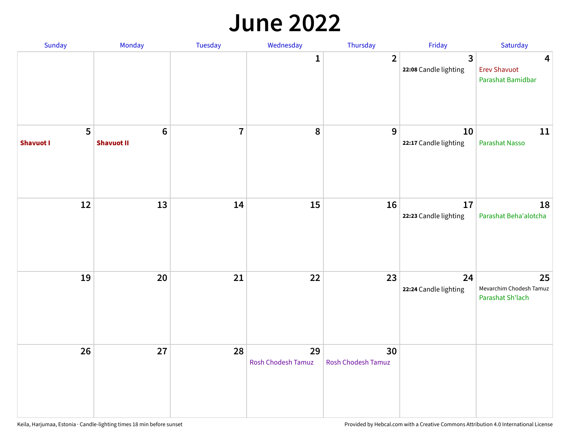#### **June 2022**

| Sunday                | Monday                       | Tuesday        | Wednesday                       | Thursday                 | Friday                      | Saturday                                          |
|-----------------------|------------------------------|----------------|---------------------------------|--------------------------|-----------------------------|---------------------------------------------------|
|                       |                              |                | 1                               | $\overline{2}$           | 3<br>22:08 Candle lighting  | 4<br><b>Erev Shavuot</b><br>Parashat Bamidbar     |
| 5<br><b>Shavuot I</b> | $\bf 6$<br><b>Shavuot II</b> | $\overline{7}$ | $\pmb{8}$                       | 9                        | 10<br>22:17 Candle lighting | 11<br>Parashat Nasso                              |
| $12\,$                | 13                           | 14             | 15                              | 16                       | 17<br>22:23 Candle lighting | 18<br>Parashat Beha'alotcha                       |
| 19                    | 20                           | 21             | 22                              | 23                       | 24<br>22:24 Candle lighting | 25<br>Mevarchim Chodesh Tamuz<br>Parashat Sh'lach |
| 26                    | 27                           | 28             | 29<br><b>Rosh Chodesh Tamuz</b> | 30<br>Rosh Chodesh Tamuz |                             |                                                   |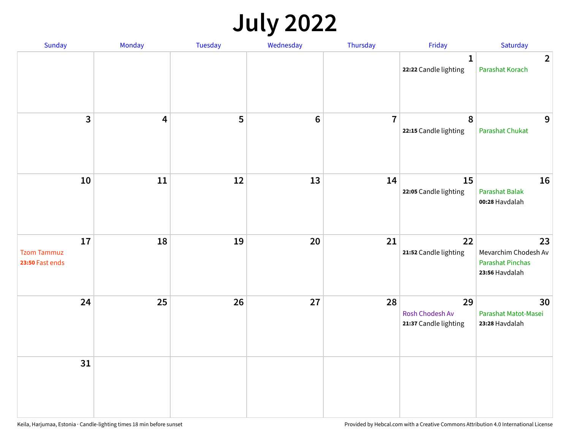## **July 2022**

| Sunday                                      | Monday                  | Tuesday | Wednesday | Thursday       | Friday                                         | Saturday                                                                |
|---------------------------------------------|-------------------------|---------|-----------|----------------|------------------------------------------------|-------------------------------------------------------------------------|
|                                             |                         |         |           |                | $\mathbf{1}$<br>22:22 Candle lighting          | $\overline{2}$<br>Parashat Korach                                       |
| $\mathbf{3}$                                | $\overline{\mathbf{4}}$ | 5       | $\bf 6$   | $\overline{7}$ | 8<br>22:15 Candle lighting                     | 9<br><b>Parashat Chukat</b>                                             |
| 10                                          | 11                      | 12      | 13        | 14             | 15<br>22:05 Candle lighting                    | 16<br>Parashat Balak<br>00:28 Havdalah                                  |
| 17<br><b>Tzom Tammuz</b><br>23:50 Fast ends | 18                      | 19      | 20        | 21             | 22<br>21:52 Candle lighting                    | 23<br>Mevarchim Chodesh Av<br><b>Parashat Pinchas</b><br>23:56 Havdalah |
| 24                                          | 25                      | 26      | 27        | 28             | 29<br>Rosh Chodesh Av<br>21:37 Candle lighting | 30<br>Parashat Matot-Masei<br>23:28 Havdalah                            |
| 31                                          |                         |         |           |                |                                                |                                                                         |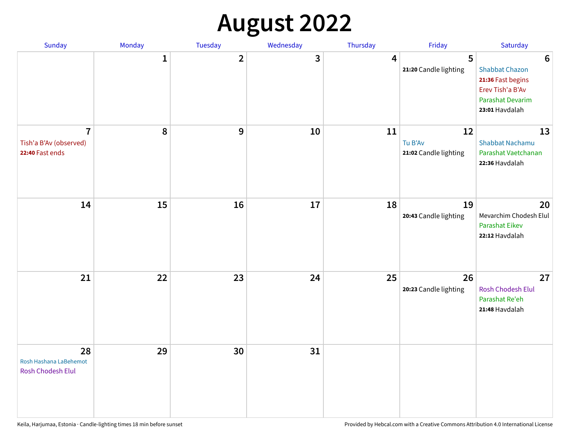## **August 2022**

| Sunday                                                      | Monday       | Tuesday                 | Wednesday | Thursday | Friday                                 | Saturday                                                                                                                       |
|-------------------------------------------------------------|--------------|-------------------------|-----------|----------|----------------------------------------|--------------------------------------------------------------------------------------------------------------------------------|
|                                                             | $\mathbf{1}$ | $\overline{\mathbf{2}}$ | 3         | 4        | 5<br>21:20 Candle lighting             | $6\phantom{1}6$<br><b>Shabbat Chazon</b><br>21:36 Fast begins<br>Erev Tish'a B'Av<br><b>Parashat Devarim</b><br>23:01 Havdalah |
| $\overline{7}$<br>Tish'a B'Av (observed)<br>22:40 Fast ends | 8            | 9                       | 10        | 11       | 12<br>Tu B'Av<br>21:02 Candle lighting | 13<br><b>Shabbat Nachamu</b><br>Parashat Vaetchanan<br>22:36 Havdalah                                                          |
| 14                                                          | 15           | 16                      | 17        | 18       | 19<br>20:43 Candle lighting            | 20<br>Mevarchim Chodesh Elul<br><b>Parashat Eikev</b><br>22:12 Havdalah                                                        |
| 21                                                          | 22           | 23                      | 24        | 25       | 26<br>20:23 Candle lighting            | 27<br><b>Rosh Chodesh Elul</b><br>Parashat Re'eh<br>21:48 Havdalah                                                             |
| 28<br>Rosh Hashana LaBehemot<br>Rosh Chodesh Elul           | 29           | 30                      | 31        |          |                                        |                                                                                                                                |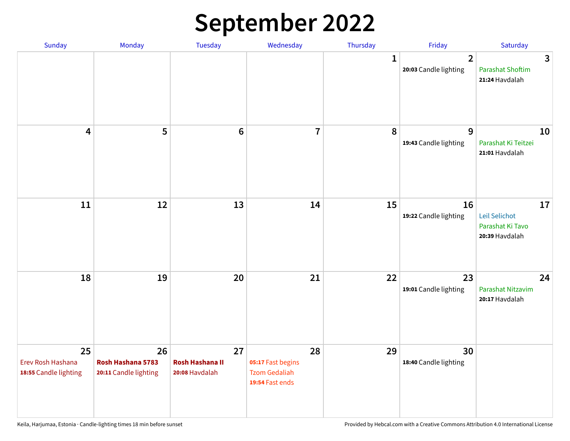## **September 2022**

| Sunday                                           | Monday                                           | Tuesday                                        | Wednesday                                                          | Thursday     | Friday                                  | Saturday                                                  |
|--------------------------------------------------|--------------------------------------------------|------------------------------------------------|--------------------------------------------------------------------|--------------|-----------------------------------------|-----------------------------------------------------------|
|                                                  |                                                  |                                                |                                                                    | $\mathbf{1}$ | $\overline{2}$<br>20:03 Candle lighting | 3<br><b>Parashat Shoftim</b><br>21:24 Havdalah            |
| $\overline{\mathbf{4}}$                          | 5                                                | $6\phantom{1}6$                                | $\overline{7}$                                                     | 8            | 9<br>19:43 Candle lighting              | 10<br>Parashat Ki Teitzei<br>21:01 Havdalah               |
| $11\,$                                           | 12                                               | 13                                             | 14                                                                 | 15           | 16<br>19:22 Candle lighting             | 17<br>Leil Selichot<br>Parashat Ki Tavo<br>20:39 Havdalah |
| 18                                               | 19                                               | 20                                             | 21                                                                 | 22           | 23<br>19:01 Candle lighting             | 24<br>Parashat Nitzavim<br>20:17 Havdalah                 |
| 25<br>Erev Rosh Hashana<br>18:55 Candle lighting | 26<br>Rosh Hashana 5783<br>20:11 Candle lighting | 27<br><b>Rosh Hashana II</b><br>20:08 Havdalah | 28<br>05:17 Fast begins<br><b>Tzom Gedaliah</b><br>19:54 Fast ends | 29           | 30<br>18:40 Candle lighting             |                                                           |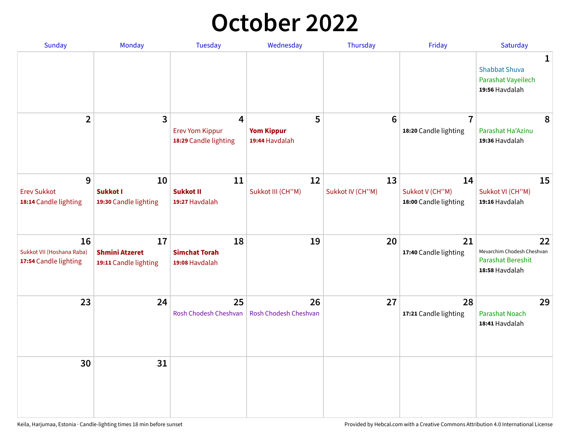## **October 2022**

| Sunday                                                   | Monday                                               | <b>Tuesday</b>                                                    | Wednesday                                | Thursday               | Friday                                         | Saturday                                                                |
|----------------------------------------------------------|------------------------------------------------------|-------------------------------------------------------------------|------------------------------------------|------------------------|------------------------------------------------|-------------------------------------------------------------------------|
|                                                          |                                                      |                                                                   |                                          |                        |                                                | 1<br><b>Shabbat Shuva</b><br>Parashat Vayeilech<br>19:56 Havdalah       |
| $\overline{2}$                                           | $\overline{\mathbf{3}}$                              | $\overline{4}$<br><b>Erev Yom Kippur</b><br>18:29 Candle lighting | 5<br><b>Yom Kippur</b><br>19:44 Havdalah | 6                      | $\overline{7}$<br>18:20 Candle lighting        | 8<br>Parashat Ha'Azinu<br>19:36 Havdalah                                |
| 9<br><b>Erev Sukkot</b><br>18:14 Candle lighting         | 10<br><b>Sukkot I</b><br>19:30 Candle lighting       | 11<br><b>Sukkot II</b><br>19:27 Havdalah                          | 12<br>Sukkot III (CH"M)                  | 13<br>Sukkot IV (CH"M) | 14<br>Sukkot V (CH"M)<br>18:00 Candle lighting | 15<br>Sukkot VI (CH"M)<br>19:16 Havdalah                                |
| 16<br>Sukkot VII (Hoshana Raba)<br>17:54 Candle lighting | 17<br><b>Shmini Atzeret</b><br>19:11 Candle lighting | 18<br><b>Simchat Torah</b><br>19:08 Havdalah                      | 19                                       | 20                     | 21<br>17:40 Candle lighting                    | 22<br>Mevarchim Chodesh Cheshvan<br>Parashat Bereshit<br>18:58 Havdalah |
| 23                                                       | 24                                                   | 25<br>Rosh Chodesh Cheshvan                                       | 26<br>Rosh Chodesh Cheshvan              | 27                     | 28<br>17:21 Candle lighting                    | 29<br><b>Parashat Noach</b><br>18:41 Havdalah                           |
| 30                                                       | 31                                                   |                                                                   |                                          |                        |                                                |                                                                         |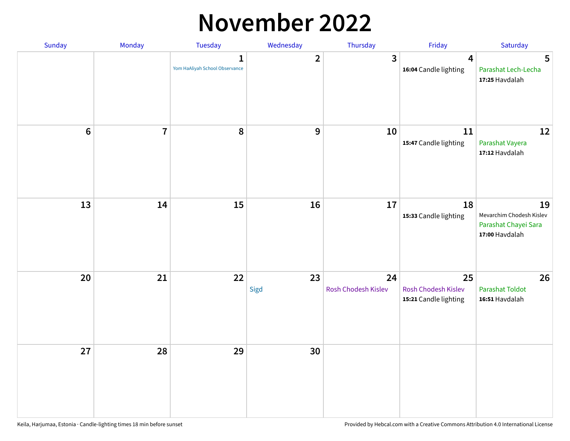#### **November 2022**

| Sunday         | Monday         | Tuesday                                        | Wednesday    | Thursday                  | Friday                                             | Saturday                                                                 |
|----------------|----------------|------------------------------------------------|--------------|---------------------------|----------------------------------------------------|--------------------------------------------------------------------------|
|                |                | $\mathbf{1}$<br>Yom HaAliyah School Observance | $\mathbf{2}$ | 3                         | $\overline{4}$<br>16:04 Candle lighting            | $5\phantom{.0}$<br>Parashat Lech-Lecha<br>17:25 Havdalah                 |
| $6\phantom{1}$ | $\overline{7}$ | 8                                              | 9            | 10                        | ${\bf 11}$<br>15:47 Candle lighting                | 12<br>Parashat Vayera<br>17:12 Havdalah                                  |
| 13             | 14             | 15                                             | 16           | 17                        | 18<br>15:33 Candle lighting                        | 19<br>Mevarchim Chodesh Kislev<br>Parashat Chayei Sara<br>17:00 Havdalah |
| 20             | 21             | 22                                             | 23<br>Sigd   | 24<br>Rosh Chodesh Kislev | 25<br>Rosh Chodesh Kislev<br>15:21 Candle lighting | 26<br><b>Parashat Toldot</b><br>16:51 Havdalah                           |
| 27             | 28             | 29                                             | 30           |                           |                                                    |                                                                          |